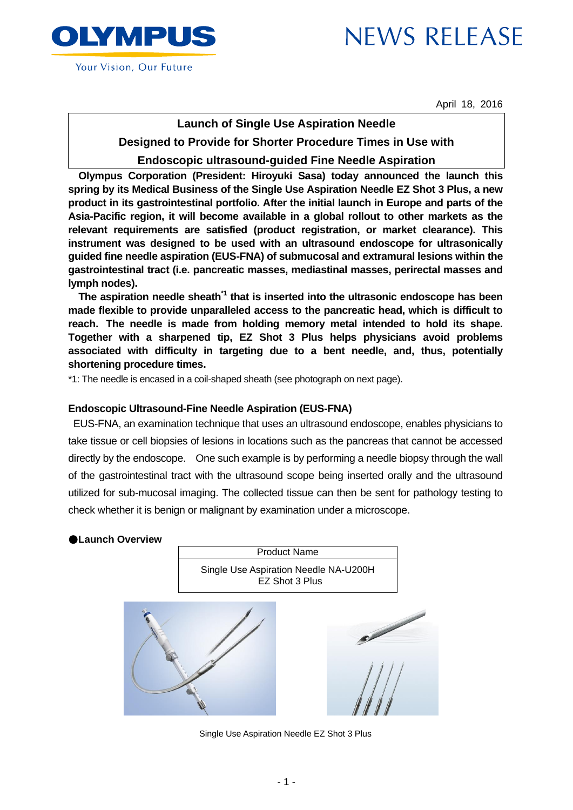



Your Vision, Our Future

April 18, 2016

# **Launch of Single Use Aspiration Needle**

# **Designed to Provide for Shorter Procedure Times in Use with**

# **Endoscopic ultrasound-guided Fine Needle Aspiration**

**Olympus Corporation (President: Hiroyuki Sasa) today announced the launch this spring by its Medical Business of the Single Use Aspiration Needle EZ Shot 3 Plus, a new product in its gastrointestinal portfolio. After the initial launch in Europe and parts of the Asia-Pacific region, it will become available in a global rollout to other markets as the relevant requirements are satisfied (product registration, or market clearance). This instrument was designed to be used with an ultrasound endoscope for ultrasonically guided fine needle aspiration (EUS-FNA) of submucosal and extramural lesions within the gastrointestinal tract (i.e. pancreatic masses, mediastinal masses, perirectal masses and lymph nodes).**

**The aspiration needle sheath\*1 that is inserted into the ultrasonic endoscope has been made flexible to provide unparalleled access to the pancreatic head, which is difficult to reach. The needle is made from holding memory metal intended to hold its shape. Together with a sharpened tip, EZ Shot 3 Plus helps physicians avoid problems associated with difficulty in targeting due to a bent needle, and, thus, potentially shortening procedure times.**

\*1: The needle is encased in a coil-shaped sheath (see photograph on next page).

# **Endoscopic Ultrasound-Fine Needle Aspiration (EUS-FNA)**

EUS-FNA, an examination technique that uses an ultrasound endoscope, enables physicians to take tissue or cell biopsies of lesions in locations such as the pancreas that cannot be accessed directly by the endoscope. One such example is by performing a needle biopsy through the wall of the gastrointestinal tract with the ultrasound scope being inserted orally and the ultrasound utilized for sub-mucosal imaging. The collected tissue can then be sent for pathology testing to check whether it is benign or malignant by examination under a microscope.

## ●**Launch Overview**

Product Name Single Use Aspiration Needle NA-U200H EZ Shot 3 Plus





Single Use Aspiration Needle EZ Shot 3 Plus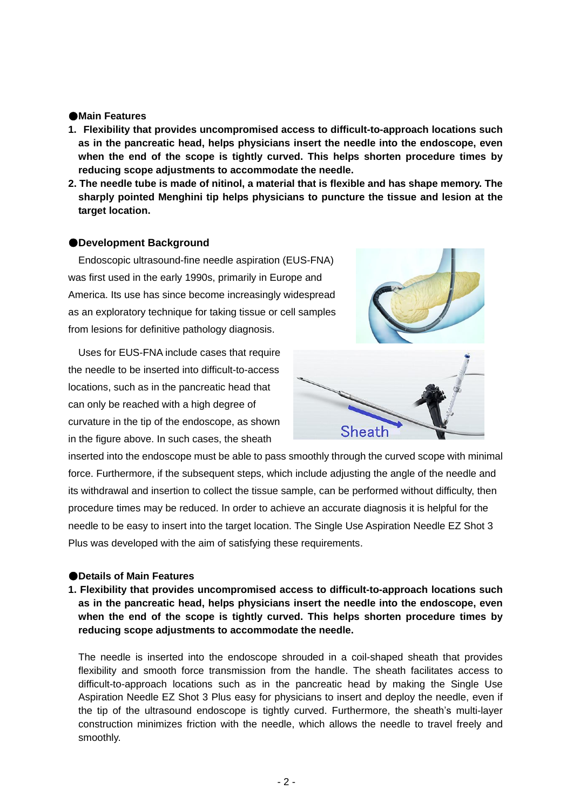#### ●**Main Features**

- **1. Flexibility that provides uncompromised access to difficult-to-approach locations such as in the pancreatic head, helps physicians insert the needle into the endoscope, even when the end of the scope is tightly curved. This helps shorten procedure times by reducing scope adjustments to accommodate the needle.**
- **2. The needle tube is made of nitinol, a material that is flexible and has shape memory. The sharply pointed Menghini tip helps physicians to puncture the tissue and lesion at the target location.**

### ●**Development Background**

Endoscopic ultrasound-fine needle aspiration (EUS-FNA) was first used in the early 1990s, primarily in Europe and America. Its use has since become increasingly widespread as an exploratory technique for taking tissue or cell samples from lesions for definitive pathology diagnosis.

Uses for EUS-FNA include cases that require the needle to be inserted into difficult-to-access locations, such as in the pancreatic head that can only be reached with a high degree of curvature in the tip of the endoscope, as shown in the figure above. In such cases, the sheath



inserted into the endoscope must be able to pass smoothly through the curved scope with minimal force. Furthermore, if the subsequent steps, which include adjusting the angle of the needle and its withdrawal and insertion to collect the tissue sample, can be performed without difficulty, then procedure times may be reduced. In order to achieve an accurate diagnosis it is helpful for the needle to be easy to insert into the target location. The Single Use Aspiration Needle EZ Shot 3 Plus was developed with the aim of satisfying these requirements.

#### ●**Details of Main Features**

**1. Flexibility that provides uncompromised access to difficult-to-approach locations such as in the pancreatic head, helps physicians insert the needle into the endoscope, even when the end of the scope is tightly curved. This helps shorten procedure times by reducing scope adjustments to accommodate the needle.**

The needle is inserted into the endoscope shrouded in a coil-shaped sheath that provides flexibility and smooth force transmission from the handle. The sheath facilitates access to difficult-to-approach locations such as in the pancreatic head by making the Single Use Aspiration Needle EZ Shot 3 Plus easy for physicians to insert and deploy the needle, even if the tip of the ultrasound endoscope is tightly curved. Furthermore, the sheath's multi-layer construction minimizes friction with the needle, which allows the needle to travel freely and smoothly.